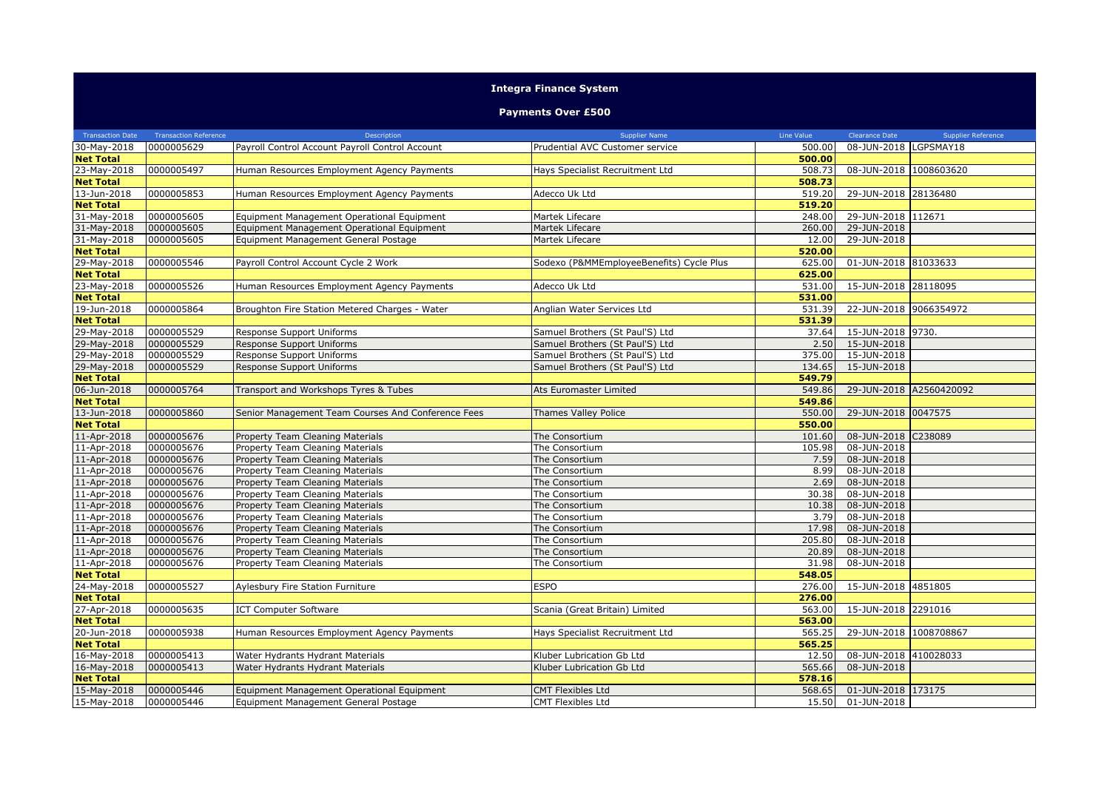## **Integra Finance System**

## **Payments Over £500**

| <b>Transaction Date</b> | <b>Transaction Reference</b> | Description                                        | <b>Supplier Name</b>                     | Line Value | Clearance Date          | <b>Supplier Reference</b> |
|-------------------------|------------------------------|----------------------------------------------------|------------------------------------------|------------|-------------------------|---------------------------|
| 30-May-2018             | 0000005629                   | Payroll Control Account Payroll Control Account    | Prudential AVC Customer service          | 500.00     | 08-JUN-2018 LGPSMAY18   |                           |
| <b>Net Total</b>        |                              |                                                    |                                          | 500.00     |                         |                           |
| 23-May-2018             | 0000005497                   | Human Resources Employment Agency Payments         | Hays Specialist Recruitment Ltd          | 508.73     | 08-JUN-2018 1008603620  |                           |
| <b>Net Total</b>        |                              |                                                    |                                          | 508.73     |                         |                           |
| 13-Jun-2018             | 0000005853                   | Human Resources Employment Agency Payments         | Adecco Uk Ltd                            | 519.20     | 29-JUN-2018 28136480    |                           |
| <b>Net Total</b>        |                              |                                                    |                                          | 519.20     |                         |                           |
| 31-May-2018             | 0000005605                   | Equipment Management Operational Equipment         | Martek Lifecare                          | 248.00     | 29-JUN-2018 112671      |                           |
| 31-May-2018             | 0000005605                   | Equipment Management Operational Equipment         | Martek Lifecare                          | 260.00     | 29-JUN-2018             |                           |
| 31-May-2018             | 0000005605                   | Equipment Management General Postage               | Martek Lifecare                          | 12.00      | 29-JUN-2018             |                           |
| <b>Net Total</b>        |                              |                                                    |                                          | 520.00     |                         |                           |
| 29-May-2018             | 0000005546                   | Payroll Control Account Cycle 2 Work               | Sodexo (P&MMEmployeeBenefits) Cycle Plus | 625.00     | 01-JUN-2018 81033633    |                           |
| <b>Net Total</b>        |                              |                                                    |                                          | 625.00     |                         |                           |
| 23-May-2018             | 0000005526                   | Human Resources Employment Agency Payments         | Adecco Uk Ltd                            | 531.00     | 15-JUN-2018 28118095    |                           |
| <b>Net Total</b>        |                              |                                                    |                                          | 531.00     |                         |                           |
| 19-Jun-2018             | 0000005864                   | Broughton Fire Station Metered Charges - Water     | Anglian Water Services Ltd               | 531.39     | 22-JUN-2018 9066354972  |                           |
| <b>Net Total</b>        |                              |                                                    |                                          | 531.39     |                         |                           |
| 29-May-2018             | 0000005529                   | Response Support Uniforms                          | Samuel Brothers (St Paul'S) Ltd          | 37.64      | 15-JUN-2018 9730.       |                           |
| 29-May-2018             | 0000005529                   | Response Support Uniforms                          | Samuel Brothers (St Paul'S) Ltd          | 2.50       | 15-JUN-2018             |                           |
| 29-May-2018             | 0000005529                   | Response Support Uniforms                          | Samuel Brothers (St Paul'S) Ltd          | 375.00     | 15-JUN-2018             |                           |
| 29-May-2018             | 0000005529                   | Response Support Uniforms                          | Samuel Brothers (St Paul'S) Ltd          | 134.65     | 15-JUN-2018             |                           |
| <b>Net Total</b>        |                              |                                                    |                                          | 549.79     |                         |                           |
| 06-Jun-2018             | 0000005764                   | Transport and Workshops Tyres & Tubes              | Ats Euromaster Limited                   | 549.86     | 29-JUN-2018 A2560420092 |                           |
| <b>Net Total</b>        |                              |                                                    |                                          | 549.86     |                         |                           |
| 13-Jun-2018             | 0000005860                   | Senior Management Team Courses And Conference Fees | Thames Valley Police                     | 550.00     | 29-JUN-2018 0047575     |                           |
| <b>Net Total</b>        |                              |                                                    |                                          | 550.00     |                         |                           |
| 11-Apr-2018             | 0000005676                   | Property Team Cleaning Materials                   | The Consortium                           | 101.60     | 08-JUN-2018 C238089     |                           |
| 11-Apr-2018             | 0000005676                   | Property Team Cleaning Materials                   | The Consortium                           | 105.98     | 08-JUN-2018             |                           |
| 11-Apr-2018             | 0000005676                   | Property Team Cleaning Materials                   | The Consortium                           | 7.59       | 08-JUN-2018             |                           |
| 11-Apr-2018             | 0000005676                   | Property Team Cleaning Materials                   | The Consortium                           | 8.99       | 08-JUN-2018             |                           |
| 11-Apr-2018             | 0000005676                   | Property Team Cleaning Materials                   | The Consortium                           | 2.69       | 08-JUN-2018             |                           |
| 11-Apr-2018             | 0000005676                   | Property Team Cleaning Materials                   | The Consortium                           | 30.38      | 08-JUN-2018             |                           |
| 11-Apr-2018             | 0000005676                   | Property Team Cleaning Materials                   | The Consortium                           | 10.38      | 08-JUN-2018             |                           |
| 11-Apr-2018             | 0000005676                   | Property Team Cleaning Materials                   | The Consortium                           | 3.79       | 08-JUN-2018             |                           |
| 11-Apr-2018             | 0000005676                   | Property Team Cleaning Materials                   | The Consortium                           | 17.98      | 08-JUN-2018             |                           |
| 11-Apr-2018             | 0000005676                   | Property Team Cleaning Materials                   | The Consortium                           | 205.80     | 08-JUN-2018             |                           |
| 11-Apr-2018             | 0000005676                   | Property Team Cleaning Materials                   | The Consortium                           | 20.89      | 08-JUN-2018             |                           |
| 11-Apr-2018             | 0000005676                   | Property Team Cleaning Materials                   | The Consortium                           | 31.98      | 08-JUN-2018             |                           |
| <b>Net Total</b>        |                              |                                                    |                                          | 548.05     |                         |                           |
| 24-May-2018             | 0000005527                   | Aylesbury Fire Station Furniture                   | <b>ESPO</b>                              | 276.00     | 15-JUN-2018 4851805     |                           |
| <b>Net Total</b>        |                              |                                                    |                                          | 276.00     |                         |                           |
| 27-Apr-2018             | 0000005635                   | <b>ICT Computer Software</b>                       | Scania (Great Britain) Limited           | 563.00     | 15-JUN-2018 2291016     |                           |
| <b>Net Total</b>        |                              |                                                    |                                          | 563.00     |                         |                           |
| 20-Jun-2018             | 0000005938                   | Human Resources Employment Agency Payments         | Hays Specialist Recruitment Ltd          | 565.25     | 29-JUN-2018 1008708867  |                           |
| <b>Net Total</b>        |                              |                                                    |                                          | 565.25     |                         |                           |
| 16-May-2018             | 0000005413                   | Water Hydrants Hydrant Materials                   | Kluber Lubrication Gb Ltd                | 12.50      | 08-JUN-2018 410028033   |                           |
| 16-May-2018             | 0000005413                   | Water Hydrants Hydrant Materials                   | Kluber Lubrication Gb Ltd                | 565.66     | 08-JUN-2018             |                           |
| <b>Net Total</b>        |                              |                                                    |                                          | 578.16     |                         |                           |
| 15-May-2018             | 0000005446                   | Equipment Management Operational Equipment         | <b>CMT Flexibles Ltd</b>                 | 568.65     | 01-JUN-2018 173175      |                           |
| 15-May-2018             | 0000005446                   | Equipment Management General Postage               | <b>CMT Flexibles Ltd</b>                 | 15.50      | 01-JUN-2018             |                           |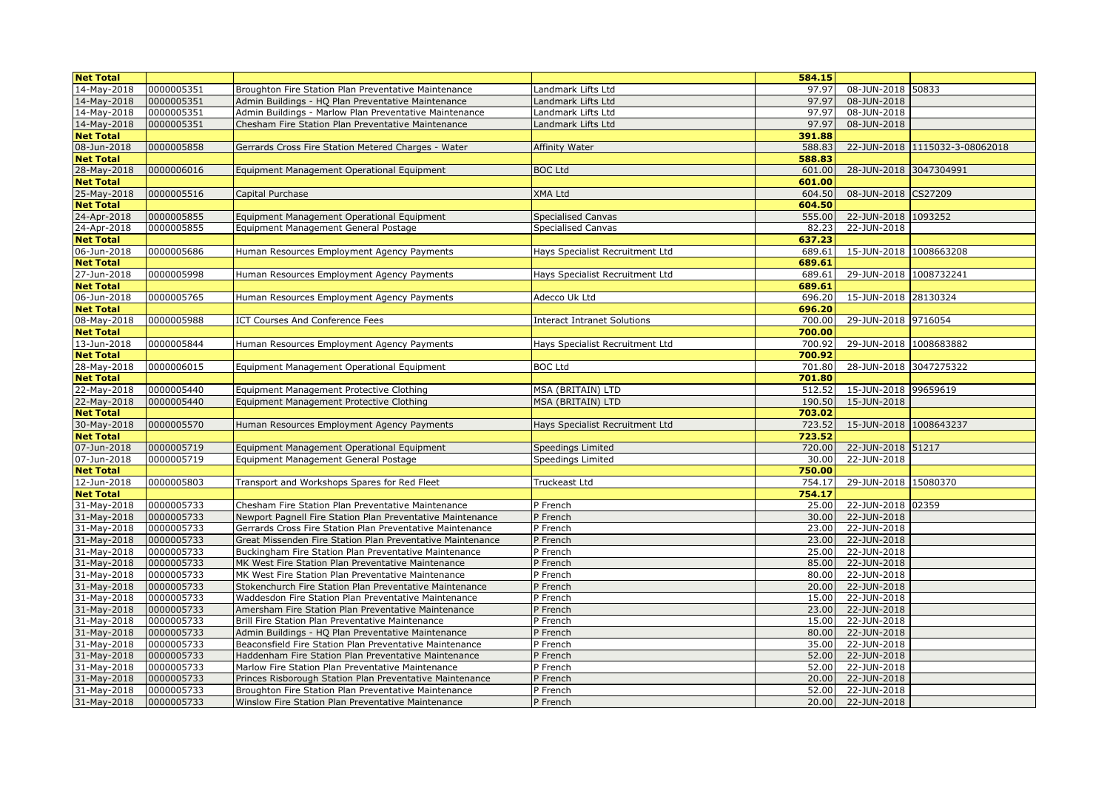| <b>Net Total</b> |            |                                                            |                                 | 584.15 |                        |                                |
|------------------|------------|------------------------------------------------------------|---------------------------------|--------|------------------------|--------------------------------|
| 14-May-2018      | 0000005351 | Broughton Fire Station Plan Preventative Maintenance       | Landmark Lifts Ltd              | 97.97  | 08-JUN-2018 50833      |                                |
| 14-May-2018      | 0000005351 | Admin Buildings - HQ Plan Preventative Maintenance         | Landmark Lifts Ltd              | 97.97  | 08-JUN-2018            |                                |
| 14-May-2018      | 0000005351 | Admin Buildings - Marlow Plan Preventative Maintenance     | Landmark Lifts Ltd              | 97.97  | 08-JUN-2018            |                                |
| 14-May-2018      | 0000005351 | Chesham Fire Station Plan Preventative Maintenance         | Landmark Lifts Ltd              | 97.97  | 08-JUN-2018            |                                |
| <b>Net Total</b> |            |                                                            |                                 | 391.88 |                        |                                |
| 08-Jun-2018      | 0000005858 | Gerrards Cross Fire Station Metered Charges - Water        | Affinity Water                  | 588.83 |                        | 22-JUN-2018 1115032-3-08062018 |
| <b>Net Total</b> |            |                                                            |                                 | 588.83 |                        |                                |
| 28-May-2018      | 0000006016 | Equipment Management Operational Equipment                 | <b>BOC Ltd</b>                  | 601.00 | 28-JUN-2018 3047304991 |                                |
| <b>Net Total</b> |            |                                                            |                                 | 601.00 |                        |                                |
| 25-May-2018      | 0000005516 | Capital Purchase                                           | XMA Ltd                         | 604.50 | 08-JUN-2018 CS27209    |                                |
| <b>Net Total</b> |            |                                                            |                                 | 604.50 |                        |                                |
| 24-Apr-2018      | 0000005855 | Equipment Management Operational Equipment                 | <b>Specialised Canvas</b>       | 555.00 | 22-JUN-2018 1093252    |                                |
| 24-Apr-2018      | 0000005855 | Equipment Management General Postage                       | Specialised Canvas              | 82.23  | 22-JUN-2018            |                                |
| <b>Net Total</b> |            |                                                            |                                 | 637.23 |                        |                                |
| 06-Jun-2018      | 0000005686 | Human Resources Employment Agency Payments                 | Hays Specialist Recruitment Ltd | 689.61 | 15-JUN-2018 1008663208 |                                |
| <b>Net Total</b> |            |                                                            |                                 | 689.61 |                        |                                |
| 27-Jun-2018      | 0000005998 | Human Resources Employment Agency Payments                 | Hays Specialist Recruitment Ltd | 689.61 | 29-JUN-2018 1008732241 |                                |
| <b>Net Total</b> |            |                                                            |                                 | 689.61 |                        |                                |
| 06-Jun-2018      | 0000005765 | Human Resources Employment Agency Payments                 | Adecco Uk Ltd                   | 696.20 | 15-JUN-2018 28130324   |                                |
| <b>Net Total</b> |            |                                                            |                                 | 696.20 |                        |                                |
| 08-May-2018      | 0000005988 | ICT Courses And Conference Fees                            | Interact Intranet Solutions     | 700.00 | 29-JUN-2018 9716054    |                                |
| <b>Net Total</b> |            |                                                            |                                 | 700.00 |                        |                                |
| 13-Jun-2018      | 0000005844 | Human Resources Employment Agency Payments                 | Hays Specialist Recruitment Ltd | 700.92 | 29-JUN-2018 1008683882 |                                |
| <b>Net Total</b> |            |                                                            |                                 | 700.92 |                        |                                |
| 28-May-2018      | 0000006015 | Equipment Management Operational Equipment                 | <b>BOC Ltd</b>                  | 701.80 | 28-JUN-2018 3047275322 |                                |
| <b>Net Total</b> |            |                                                            |                                 | 701.80 |                        |                                |
| 22-May-2018      | 0000005440 | Equipment Management Protective Clothing                   | MSA (BRITAIN) LTD               | 512.52 | 15-JUN-2018 99659619   |                                |
| 22-May-2018      | 0000005440 | Equipment Management Protective Clothing                   | MSA (BRITAIN) LTD               | 190.50 | 15-JUN-2018            |                                |
| <b>Net Total</b> |            |                                                            |                                 | 703.02 |                        |                                |
| 30-May-2018      | 0000005570 | Human Resources Employment Agency Payments                 | Hays Specialist Recruitment Ltd | 723.52 | 15-JUN-2018 1008643237 |                                |
| <b>Net Total</b> |            |                                                            |                                 | 723.52 |                        |                                |
| 07-Jun-2018      | 0000005719 | Equipment Management Operational Equipment                 | Speedings Limited               | 720.00 | 22-JUN-2018 51217      |                                |
| 07-Jun-2018      | 0000005719 | Equipment Management General Postage                       | Speedings Limited               | 30.00  | 22-JUN-2018            |                                |
| <b>Net Total</b> |            |                                                            |                                 | 750.00 |                        |                                |
| 12-Jun-2018      | 0000005803 | Transport and Workshops Spares for Red Fleet               | Truckeast Ltd                   | 754.17 | 29-JUN-2018 15080370   |                                |
| <b>Net Total</b> |            |                                                            |                                 | 754.17 |                        |                                |
| 31-May-2018      | 0000005733 | Chesham Fire Station Plan Preventative Maintenance         | P French                        | 25.00  | 22-JUN-2018 02359      |                                |
| 31-May-2018      | 0000005733 | Newport Pagnell Fire Station Plan Preventative Maintenance | P French                        | 30.00  | 22-JUN-2018            |                                |
| 31-May-2018      | 0000005733 | Gerrards Cross Fire Station Plan Preventative Maintenance  | P French                        | 23.00  | 22-JUN-2018            |                                |
| 31-May-2018      | 0000005733 | Great Missenden Fire Station Plan Preventative Maintenance | P French                        | 23.00  | 22-JUN-2018            |                                |
| 31-May-2018      | 0000005733 | Buckingham Fire Station Plan Preventative Maintenance      | P French                        | 25.00  | 22-JUN-2018            |                                |
| 31-May-2018      | 0000005733 | MK West Fire Station Plan Preventative Maintenance         | P French                        | 85.00  | 22-JUN-2018            |                                |
| 31-May-2018      | 0000005733 | MK West Fire Station Plan Preventative Maintenance         | P French                        | 80.00  | 22-JUN-2018            |                                |
| 31-May-2018      | 0000005733 | Stokenchurch Fire Station Plan Preventative Maintenance    | P French                        | 20.00  | 22-JUN-2018            |                                |
| 31-May-2018      | 0000005733 | Waddesdon Fire Station Plan Preventative Maintenance       | P French                        | 15.00  | 22-JUN-2018            |                                |
| 31-May-2018      | 0000005733 | Amersham Fire Station Plan Preventative Maintenance        | P French                        | 23.00  | 22-JUN-2018            |                                |
| 31-May-2018      | 0000005733 | Brill Fire Station Plan Preventative Maintenance           | P French                        | 15.00  | 22-JUN-2018            |                                |
| 31-May-2018      | 0000005733 | Admin Buildings - HQ Plan Preventative Maintenance         | P French                        | 80.00  | 22-JUN-2018            |                                |
| 31-May-2018      | 0000005733 | Beaconsfield Fire Station Plan Preventative Maintenance    | P French                        | 35.00  | 22-JUN-2018            |                                |
| 31-May-2018      | 0000005733 | Haddenham Fire Station Plan Preventative Maintenance       | P French                        | 52.00  | 22-JUN-2018            |                                |
| 31-May-2018      | 0000005733 | Marlow Fire Station Plan Preventative Maintenance          | P French                        | 52.00  | 22-JUN-2018            |                                |
| 31-May-2018      | 0000005733 | Princes Risborough Station Plan Preventative Maintenance   | P French                        | 20.00  | 22-JUN-2018            |                                |
| 31-May-2018      | 0000005733 | Broughton Fire Station Plan Preventative Maintenance       | P French                        | 52.00  | 22-JUN-2018            |                                |
| 31-May-2018      | 0000005733 | Winslow Fire Station Plan Preventative Maintenance         | P French                        | 20.00  | 22-JUN-2018            |                                |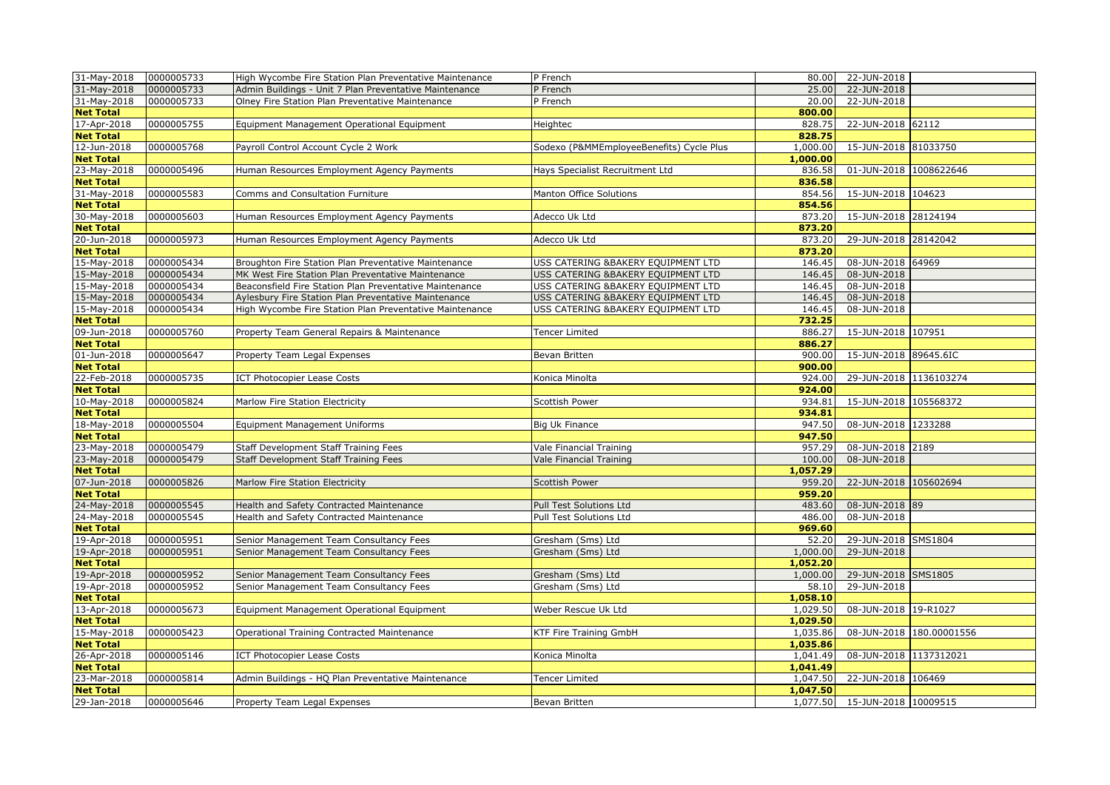| 31-May-2018      | 0000005733 | High Wycombe Fire Station Plan Preventative Maintenance | P French                                 |          | 80.00 22-JUN-2018             |
|------------------|------------|---------------------------------------------------------|------------------------------------------|----------|-------------------------------|
| 31-May-2018      | 0000005733 | Admin Buildings - Unit 7 Plan Preventative Maintenance  | P French                                 | 25.00    | 22-JUN-2018                   |
| 31-May-2018      | 0000005733 | Olney Fire Station Plan Preventative Maintenance        | P French                                 | 20.00    | 22-JUN-2018                   |
| <b>Net Total</b> |            |                                                         |                                          | 800.00   |                               |
| 17-Apr-2018      | 0000005755 | Equipment Management Operational Equipment              | Heightec                                 | 828.75   | 22-JUN-2018 62112             |
| <b>Net Total</b> |            |                                                         |                                          | 828.75   |                               |
| 12-Jun-2018      | 0000005768 | Payroll Control Account Cycle 2 Work                    | Sodexo (P&MMEmployeeBenefits) Cycle Plus | 1,000.00 | 15-JUN-2018 81033750          |
| <b>Net Total</b> |            |                                                         |                                          | 1,000.00 |                               |
| 23-May-2018      | 0000005496 | Human Resources Employment Agency Payments              | Hays Specialist Recruitment Ltd          | 836.58   | 01-JUN-2018 1008622646        |
| <b>Net Total</b> |            |                                                         |                                          | 836.58   |                               |
| 31-May-2018      | 0000005583 | Comms and Consultation Furniture                        | Manton Office Solutions                  | 854.56   | 15-JUN-2018 104623            |
| <b>Net Total</b> |            |                                                         |                                          | 854.56   |                               |
| 30-May-2018      | 0000005603 | Human Resources Employment Agency Payments              | Adecco Uk Ltd                            | 873.20   | 15-JUN-2018 28124194          |
| <b>Net Total</b> |            |                                                         |                                          | 873.20   |                               |
| 20-Jun-2018      | 0000005973 | Human Resources Employment Agency Payments              | Adecco Uk Ltd                            | 873.20   | 29-JUN-2018 28142042          |
| <b>Net Total</b> |            |                                                         |                                          | 873.20   |                               |
| 15-May-2018      | 0000005434 | Broughton Fire Station Plan Preventative Maintenance    | USS CATERING & BAKERY EOUIPMENT LTD      | 146.45   | 08-JUN-2018 64969             |
| 15-May-2018      | 0000005434 | MK West Fire Station Plan Preventative Maintenance      | USS CATERING &BAKERY EQUIPMENT LTD       | 146.45   | 08-JUN-2018                   |
| 15-May-2018      | 0000005434 | Beaconsfield Fire Station Plan Preventative Maintenance | USS CATERING &BAKERY EQUIPMENT LTD       | 146.45   | 08-JUN-2018                   |
| 15-May-2018      | 0000005434 | Aylesbury Fire Station Plan Preventative Maintenance    | USS CATERING &BAKERY EQUIPMENT LTD       | 146.45   | 08-JUN-2018                   |
| 15-May-2018      | 0000005434 | High Wycombe Fire Station Plan Preventative Maintenance | USS CATERING & BAKERY EQUIPMENT LTD      | 146.45   | 08-JUN-2018                   |
| <b>Net Total</b> |            |                                                         |                                          | 732.25   |                               |
| 09-Jun-2018      | 0000005760 | Property Team General Repairs & Maintenance             | <b>Tencer Limited</b>                    | 886.27   | 15-JUN-2018 107951            |
| <b>Net Total</b> |            |                                                         |                                          | 886.27   |                               |
| 01-Jun-2018      | 0000005647 | Property Team Legal Expenses                            | Bevan Britten                            | 900.00   | 15-JUN-2018 89645.6IC         |
| <b>Net Total</b> |            |                                                         |                                          | 900.00   |                               |
| 22-Feb-2018      | 0000005735 | <b>ICT Photocopier Lease Costs</b>                      | Konica Minolta                           | 924.00   | 29-JUN-2018 1136103274        |
| <b>Net Total</b> |            |                                                         |                                          | 924.00   |                               |
| 10-May-2018      | 0000005824 | Marlow Fire Station Electricity                         | Scottish Power                           | 934.81   | 15-JUN-2018 105568372         |
| <b>Net Total</b> |            |                                                         |                                          | 934.81   |                               |
| 18-May-2018      | 0000005504 | <b>Equipment Management Uniforms</b>                    | Big Uk Finance                           | 947.50   | 08-JUN-2018 1233288           |
| <b>Net Total</b> |            |                                                         |                                          | 947.50   |                               |
| 23-May-2018      | 0000005479 | Staff Development Staff Training Fees                   | Vale Financial Training                  | 957.29   | 08-JUN-2018 2189              |
| 23-May-2018      | 0000005479 | Staff Development Staff Training Fees                   | Vale Financial Training                  | 100.00   | 08-JUN-2018                   |
| <b>Net Total</b> |            |                                                         |                                          | 1,057.29 |                               |
| 07-Jun-2018      | 0000005826 | Marlow Fire Station Electricity                         | <b>Scottish Power</b>                    | 959.20   | 22-JUN-2018 105602694         |
| <b>Net Total</b> |            |                                                         |                                          | 959.20   |                               |
| 24-May-2018      | 0000005545 | Health and Safety Contracted Maintenance                | Pull Test Solutions Ltd                  | 483.60   | 08-JUN-2018 89                |
| 24-May-2018      | 0000005545 | Health and Safety Contracted Maintenance                | Pull Test Solutions Ltd                  | 486.00   | 08-JUN-2018                   |
| <b>Net Total</b> |            |                                                         |                                          | 969.60   |                               |
| 19-Apr-2018      | 0000005951 | Senior Management Team Consultancy Fees                 | Gresham (Sms) Ltd                        | 52.20    | 29-JUN-2018 SMS1804           |
| 19-Apr-2018      | 0000005951 | Senior Management Team Consultancy Fees                 | Gresham (Sms) Ltd                        | 1,000.00 | 29-JUN-2018                   |
| <b>Net Total</b> |            |                                                         |                                          | 1,052.20 |                               |
| 19-Apr-2018      | 0000005952 | Senior Management Team Consultancy Fees                 | Gresham (Sms) Ltd                        | 1,000.00 | 29-JUN-2018 SMS1805           |
| 19-Apr-2018      | 0000005952 | Senior Management Team Consultancy Fees                 | Gresham (Sms) Ltd                        | 58.10    | 29-JUN-2018                   |
| <b>Net Total</b> |            |                                                         |                                          | 1,058.10 |                               |
| 13-Apr-2018      | 0000005673 | Equipment Management Operational Equipment              | Weber Rescue Uk Ltd                      | 1,029.50 | 08-JUN-2018 19-R1027          |
| <b>Net Total</b> |            |                                                         |                                          | 1,029.50 |                               |
| 15-May-2018      | 0000005423 | Operational Training Contracted Maintenance             | KTF Fire Training GmbH                   | 1,035.86 | 08-JUN-2018 180.00001556      |
| <b>Net Total</b> |            |                                                         |                                          | 1,035.86 |                               |
| 26-Apr-2018      | 0000005146 | <b>ICT Photocopier Lease Costs</b>                      | Konica Minolta                           | 1,041.49 | 08-JUN-2018 1137312021        |
| <b>Net Total</b> |            |                                                         |                                          | 1,041.49 |                               |
| 23-Mar-2018      | 0000005814 | Admin Buildings - HQ Plan Preventative Maintenance      | <b>Tencer Limited</b>                    | 1,047.50 | 22-JUN-2018 106469            |
| <b>Net Total</b> |            |                                                         |                                          | 1,047.50 |                               |
| 29-Jan-2018      | 0000005646 | Property Team Legal Expenses                            | Bevan Britten                            |          | 1,077.50 15-JUN-2018 10009515 |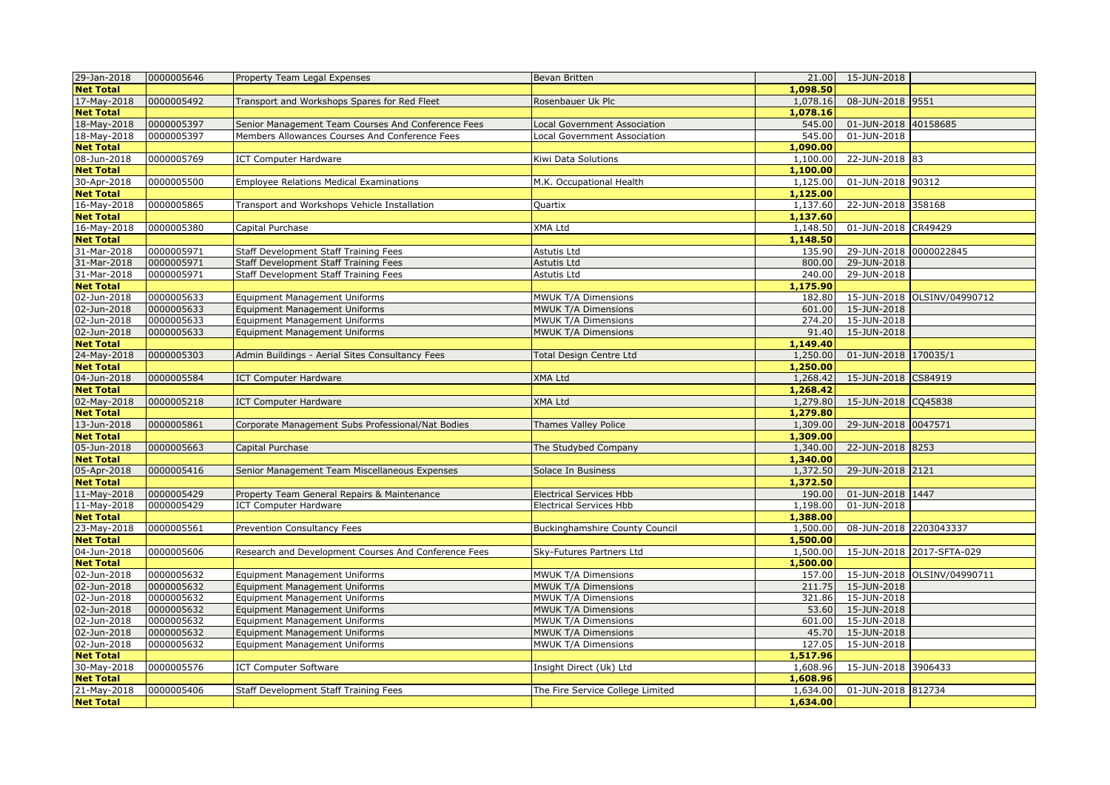| 29-Jan-2018      | 0000005646 | Property Team Legal Expenses                         | Bevan Britten                         | 21.00    | 15-JUN-2018               |                             |
|------------------|------------|------------------------------------------------------|---------------------------------------|----------|---------------------------|-----------------------------|
| <b>Net Total</b> |            |                                                      |                                       | 1,098.50 |                           |                             |
| 17-May-2018      | 0000005492 | Transport and Workshops Spares for Red Fleet         | Rosenbauer Uk Plc                     | 1,078.16 | 08-JUN-2018 9551          |                             |
| <b>Net Total</b> |            |                                                      |                                       | 1,078.16 |                           |                             |
| 18-May-2018      | 0000005397 | Senior Management Team Courses And Conference Fees   | Local Government Association          | 545.00   | 01-JUN-2018 40158685      |                             |
| 18-May-2018      | 0000005397 | Members Allowances Courses And Conference Fees       | Local Government Association          | 545.00   | $\overline{01}$ -JUN-2018 |                             |
| <b>Net Total</b> |            |                                                      |                                       | 1,090.00 |                           |                             |
| 08-Jun-2018      | 0000005769 | <b>ICT Computer Hardware</b>                         | Kiwi Data Solutions                   | 1,100.00 | 22-JUN-2018 83            |                             |
| <b>Net Total</b> |            |                                                      |                                       | 1,100.00 |                           |                             |
| 30-Apr-2018      | 0000005500 | <b>Employee Relations Medical Examinations</b>       | M.K. Occupational Health              | 1,125.00 | 01-JUN-2018 90312         |                             |
| <b>Net Total</b> |            |                                                      |                                       | 1,125.00 |                           |                             |
| 16-May-2018      | 0000005865 | Transport and Workshops Vehicle Installation         | Quartix                               | 1,137.60 | 22-JUN-2018 358168        |                             |
| <b>Net Total</b> |            |                                                      |                                       | 1,137.60 |                           |                             |
| 16-May-2018      | 0000005380 | Capital Purchase                                     | XMA Ltd                               | 1,148.50 | 01-JUN-2018 CR49429       |                             |
| <b>Net Total</b> |            |                                                      |                                       | 1,148.50 |                           |                             |
| 31-Mar-2018      | 0000005971 | Staff Development Staff Training Fees                | Astutis Ltd                           | 135.90   | 29-JUN-2018 0000022845    |                             |
| 31-Mar-2018      | 0000005971 | <b>Staff Development Staff Training Fees</b>         | Astutis Ltd                           | 800.00   | 29-JUN-2018               |                             |
| 31-Mar-2018      | 0000005971 | Staff Development Staff Training Fees                | Astutis Ltd                           | 240.00   | 29-JUN-2018               |                             |
| <b>Net Total</b> |            |                                                      |                                       | 1,175.90 |                           |                             |
| 02-Jun-2018      | 0000005633 | <b>Equipment Management Uniforms</b>                 | MWUK T/A Dimensions                   | 182.80   |                           | 15-JUN-2018 OLSINV/04990712 |
| 02-Jun-2018      | 0000005633 | <b>Equipment Management Uniforms</b>                 | MWUK T/A Dimensions                   | 601.00   | 15-JUN-2018               |                             |
| 02-Jun-2018      | 0000005633 | <b>Equipment Management Uniforms</b>                 | <b>MWUK T/A Dimensions</b>            | 274.20   | 15-JUN-2018               |                             |
| 02-Jun-2018      | 0000005633 | <b>Equipment Management Uniforms</b>                 | MWUK T/A Dimensions                   | 91.40    | 15-JUN-2018               |                             |
| <b>Net Total</b> |            |                                                      |                                       | 1,149.40 |                           |                             |
| 24-May-2018      | 0000005303 | Admin Buildings - Aerial Sites Consultancy Fees      | <b>Total Design Centre Ltd</b>        | 1,250.00 | 01-JUN-2018 170035/1      |                             |
| <b>Net Total</b> |            |                                                      |                                       | 1,250.00 |                           |                             |
| 04-Jun-2018      | 0000005584 | <b>ICT Computer Hardware</b>                         | XMA Ltd                               | 1,268.42 | 15-JUN-2018 CS84919       |                             |
| <b>Net Total</b> |            |                                                      |                                       | 1,268.42 |                           |                             |
| 02-May-2018      | 0000005218 | <b>ICT Computer Hardware</b>                         | <b>XMA Ltd</b>                        | 1,279.80 | 15-JUN-2018 CQ45838       |                             |
| <b>Net Total</b> |            |                                                      |                                       | 1,279.80 |                           |                             |
| 13-Jun-2018      | 0000005861 | Corporate Management Subs Professional/Nat Bodies    | Thames Valley Police                  | 1,309.00 | 29-JUN-2018 0047571       |                             |
| <b>Net Total</b> |            |                                                      |                                       | 1,309.00 |                           |                             |
| 05-Jun-2018      | 0000005663 | Capital Purchase                                     | The Studybed Company                  | 1,340.00 | 22-JUN-2018 8253          |                             |
| <b>Net Total</b> |            |                                                      |                                       | 1,340.00 |                           |                             |
| 05-Apr-2018      | 0000005416 | Senior Management Team Miscellaneous Expenses        | Solace In Business                    | 1,372.50 | 29-JUN-2018 2121          |                             |
| <b>Net Total</b> |            |                                                      |                                       | 1,372.50 |                           |                             |
| 11-May-2018      | 0000005429 | Property Team General Repairs & Maintenance          | <b>Electrical Services Hbb</b>        | 190.00   | 01-JUN-2018 1447          |                             |
| 11-May-2018      | 0000005429 | <b>ICT Computer Hardware</b>                         | Electrical Services Hbb               | 1,198.00 | 01-JUN-2018               |                             |
| <b>Net Total</b> |            |                                                      |                                       | 1,388.00 |                           |                             |
| 23-May-2018      | 0000005561 | Prevention Consultancy Fees                          | <b>Buckinghamshire County Council</b> | 1,500.00 | 08-JUN-2018 2203043337    |                             |
| <b>Net Total</b> |            |                                                      |                                       | 1,500.00 |                           |                             |
| 04-Jun-2018      | 0000005606 | Research and Development Courses And Conference Fees | Sky-Futures Partners Ltd              | 1,500.00 |                           | 15-JUN-2018 2017-SFTA-029   |
| <b>Net Total</b> |            |                                                      |                                       | 1,500.00 |                           |                             |
| 02-Jun-2018      | 0000005632 | <b>Equipment Management Uniforms</b>                 | MWUK T/A Dimensions                   | 157.00   |                           | 15-JUN-2018 OLSINV/04990711 |
| 02-Jun-2018      | 0000005632 | <b>Equipment Management Uniforms</b>                 | <b>MWUK T/A Dimensions</b>            | 211.75   | 15-JUN-2018               |                             |
| 02-Jun-2018      | 0000005632 | <b>Equipment Management Uniforms</b>                 | MWUK T/A Dimensions                   | 321.86   | 15-JUN-2018               |                             |
| 02-Jun-2018      | 0000005632 | <b>Equipment Management Uniforms</b>                 | <b>MWUK T/A Dimensions</b>            | 53.60    | 15-JUN-2018               |                             |
| 02-Jun-2018      | 0000005632 | <b>Equipment Management Uniforms</b>                 | MWUK T/A Dimensions                   | 601.00   | 15-JUN-2018               |                             |
| 02-Jun-2018      | 0000005632 | <b>Equipment Management Uniforms</b>                 | MWUK T/A Dimensions                   | 45.70    | 15-JUN-2018               |                             |
| 02-Jun-2018      | 0000005632 | <b>Equipment Management Uniforms</b>                 | MWUK T/A Dimensions                   | 127.05   | 15-JUN-2018               |                             |
| <b>Net Total</b> |            |                                                      |                                       | 1,517.96 |                           |                             |
| 30-May-2018      | 0000005576 | <b>ICT Computer Software</b>                         | Insight Direct (Uk) Ltd               | 1,608.96 | 15-JUN-2018 3906433       |                             |
| <b>Net Total</b> |            |                                                      |                                       | 1,608.96 |                           |                             |
| 21-May-2018      | 0000005406 | Staff Development Staff Training Fees                | The Fire Service College Limited      | 1,634.00 | 01-JUN-2018 812734        |                             |
| <b>Net Total</b> |            |                                                      |                                       | 1,634.00 |                           |                             |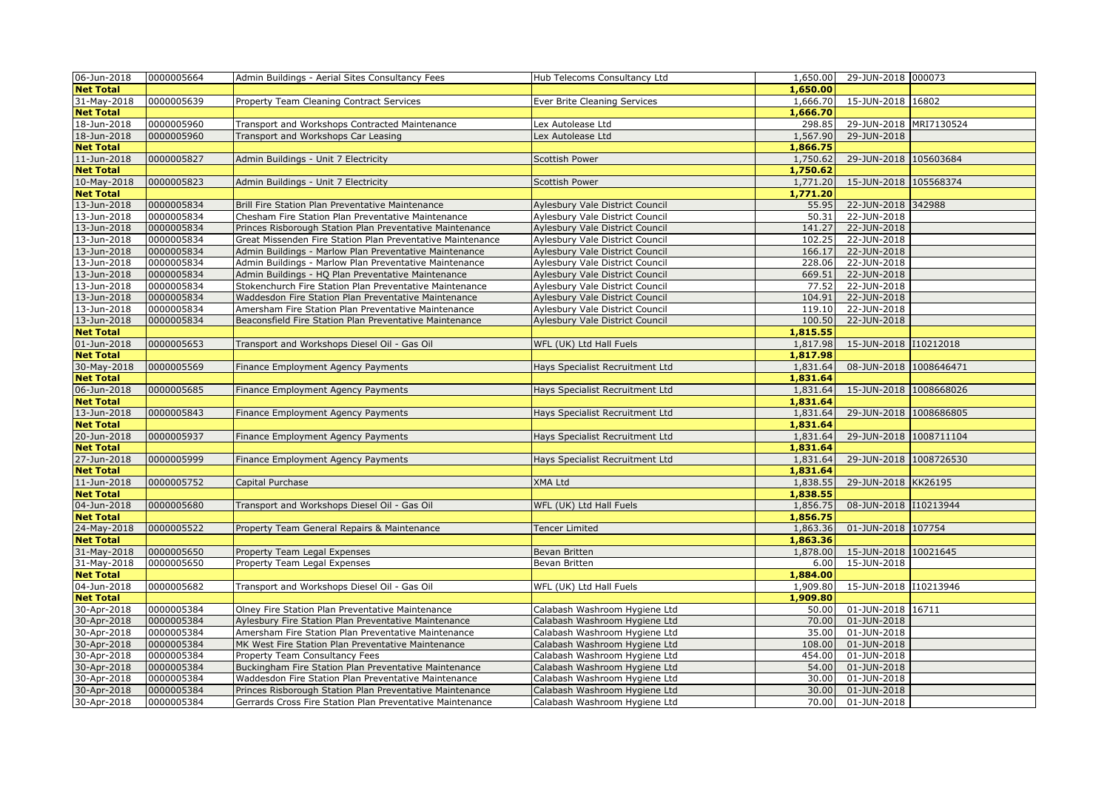| 06-Jun-2018                     | 0000005664 | Admin Buildings - Aerial Sites Consultancy Fees            | Hub Telecoms Consultancy Ltd    | 1,650.00             | 29-JUN-2018 000073     |
|---------------------------------|------------|------------------------------------------------------------|---------------------------------|----------------------|------------------------|
| <b>Net Total</b>                |            |                                                            |                                 | 1,650.00             |                        |
| 31-May-2018                     | 0000005639 | <b>Property Team Cleaning Contract Services</b>            | Ever Brite Cleaning Services    | 1,666.70             | 15-JUN-2018 16802      |
| <b>Net Total</b>                |            |                                                            |                                 | 1,666.70             |                        |
| 18-Jun-2018                     | 0000005960 | Transport and Workshops Contracted Maintenance             | Lex Autolease Ltd               | 298.85               | 29-JUN-2018 MRI7130524 |
| 18-Jun-2018                     | 0000005960 | Transport and Workshops Car Leasing                        | Lex Autolease Ltd               | 1,567.90             | 29-JUN-2018            |
| <b>Net Total</b>                |            |                                                            |                                 | 1,866.75             |                        |
| 11-Jun-2018                     | 0000005827 | Admin Buildings - Unit 7 Electricity                       | <b>Scottish Power</b>           | 1,750.62             | 29-JUN-2018 105603684  |
| <b>Net Total</b>                |            |                                                            |                                 | 1,750.62             |                        |
| 10-May-2018                     | 0000005823 | Admin Buildings - Unit 7 Electricity                       | <b>Scottish Power</b>           | 1,771.20             | 15-JUN-2018 105568374  |
| <b>Net Total</b>                |            |                                                            |                                 | 1,771.20             |                        |
| 13-Jun-2018                     | 0000005834 | Brill Fire Station Plan Preventative Maintenance           | Aylesbury Vale District Council | 55.95                | 22-JUN-2018 342988     |
| 13-Jun-2018                     | 0000005834 | Chesham Fire Station Plan Preventative Maintenance         | Aylesbury Vale District Council | 50.31                | 22-JUN-2018            |
| 13-Jun-2018                     | 0000005834 | Princes Risborough Station Plan Preventative Maintenance   | Aylesbury Vale District Council | 141.27               | 22-JUN-2018            |
| 13-Jun-2018                     | 0000005834 | Great Missenden Fire Station Plan Preventative Maintenance | Aylesbury Vale District Council | 102.25               | 22-JUN-2018            |
| 13-Jun-2018                     | 0000005834 | Admin Buildings - Marlow Plan Preventative Maintenance     | Aylesbury Vale District Council | 166.17               | 22-JUN-2018            |
| 13-Jun-2018                     | 0000005834 | Admin Buildings - Marlow Plan Preventative Maintenance     | Aylesbury Vale District Council | 228.06               | 22-JUN-2018            |
| 13-Jun-2018                     | 0000005834 | Admin Buildings - HQ Plan Preventative Maintenance         | Aylesbury Vale District Council | 669.51               | 22-JUN-2018            |
| 13-Jun-2018                     | 0000005834 | Stokenchurch Fire Station Plan Preventative Maintenance    | Aylesbury Vale District Council | 77.52                | 22-JUN-2018            |
| 13-Jun-2018                     | 0000005834 | Waddesdon Fire Station Plan Preventative Maintenance       | Aylesbury Vale District Council | 104.91               | 22-JUN-2018            |
| 13-Jun-2018                     | 0000005834 | Amersham Fire Station Plan Preventative Maintenance        | Aylesbury Vale District Council | 119.10               | 22-JUN-2018            |
| 13-Jun-2018                     | 0000005834 | Beaconsfield Fire Station Plan Preventative Maintenance    | Aylesbury Vale District Council | 100.50               | 22-JUN-2018            |
| <b>Net Total</b>                |            |                                                            |                                 | 1,815.55             |                        |
| 01-Jun-2018                     | 0000005653 | Transport and Workshops Diesel Oil - Gas Oil               | WFL (UK) Ltd Hall Fuels         | 1,817.98             | 15-JUN-2018 110212018  |
| <b>Net Total</b>                |            |                                                            |                                 | 1,817.98             |                        |
| 30-May-2018                     | 0000005569 | Finance Employment Agency Payments                         | Hays Specialist Recruitment Ltd | 1,831.64             | 08-JUN-2018 1008646471 |
| <b>Net Total</b>                |            |                                                            |                                 | 1,831.64             |                        |
| 06-Jun-2018                     | 0000005685 | Finance Employment Agency Payments                         | Hays Specialist Recruitment Ltd | 1,831.64             | 15-JUN-2018 1008668026 |
| <b>Net Total</b>                |            |                                                            |                                 | 1,831.64             |                        |
| 13-Jun-2018                     | 0000005843 | Finance Employment Agency Payments                         | Hays Specialist Recruitment Ltd | 1,831.64             | 29-JUN-2018 1008686805 |
| <b>Net Total</b>                |            |                                                            |                                 | 1,831.64             |                        |
| 20-Jun-2018                     | 0000005937 | Finance Employment Agency Payments                         | Hays Specialist Recruitment Ltd | 1,831.64             | 29-JUN-2018 1008711104 |
| <b>Net Total</b><br>27-Jun-2018 | 0000005999 |                                                            |                                 | 1,831.64<br>1,831.64 | 29-JUN-2018 1008726530 |
| <b>Net Total</b>                |            | Finance Employment Agency Payments                         | Hays Specialist Recruitment Ltd | 1,831.64             |                        |
| 11-Jun-2018                     | 0000005752 | Capital Purchase                                           | <b>XMA Ltd</b>                  | 1,838.55             | 29-JUN-2018 KK26195    |
| <b>Net Total</b>                |            |                                                            |                                 | 1,838.55             |                        |
| 04-Jun-2018                     | 0000005680 | Transport and Workshops Diesel Oil - Gas Oil               | WFL (UK) Ltd Hall Fuels         | 1,856.75             | 08-JUN-2018 110213944  |
| <b>Net Total</b>                |            |                                                            |                                 | 1,856.75             |                        |
| 24-May-2018                     | 0000005522 | Property Team General Repairs & Maintenance                | <b>Tencer Limited</b>           | 1,863.36             | 01-JUN-2018 107754     |
| <b>Net Total</b>                |            |                                                            |                                 | 1,863.36             |                        |
| 31-May-2018                     | 0000005650 | Property Team Legal Expenses                               | Bevan Britten                   | 1,878.00             | 15-JUN-2018 10021645   |
| 31-May-2018                     | 0000005650 | Property Team Legal Expenses                               | Bevan Britten                   | 6.00                 | 15-JUN-2018            |
| <b>Net Total</b>                |            |                                                            |                                 | 1,884.00             |                        |
| 04-Jun-2018                     | 0000005682 | Transport and Workshops Diesel Oil - Gas Oil               | WFL (UK) Ltd Hall Fuels         | 1,909.80             | 15-JUN-2018 110213946  |
| <b>Net Total</b>                |            |                                                            |                                 | 1,909.80             |                        |
| 30-Apr-2018                     | 0000005384 | Olney Fire Station Plan Preventative Maintenance           | Calabash Washroom Hygiene Ltd   | 50.00                | 01-JUN-2018 16711      |
| 30-Apr-2018                     | 0000005384 | Aylesbury Fire Station Plan Preventative Maintenance       | Calabash Washroom Hygiene Ltd   | 70.00                | 01-JUN-2018            |
| 30-Apr-2018                     | 0000005384 | Amersham Fire Station Plan Preventative Maintenance        | Calabash Washroom Hygiene Ltd   | 35.00                | 01-JUN-2018            |
| 30-Apr-2018                     | 0000005384 | MK West Fire Station Plan Preventative Maintenance         | Calabash Washroom Hygiene Ltd   | 108.00               | 01-JUN-2018            |
| 30-Apr-2018                     | 0000005384 | Property Team Consultancy Fees                             | Calabash Washroom Hygiene Ltd   | 454.00               | 01-JUN-2018            |
| 30-Apr-2018                     | 0000005384 | Buckingham Fire Station Plan Preventative Maintenance      | Calabash Washroom Hygiene Ltd   | 54.00                | 01-JUN-2018            |
| 30-Apr-2018                     | 0000005384 | Waddesdon Fire Station Plan Preventative Maintenance       | Calabash Washroom Hygiene Ltd   | 30.00                | 01-JUN-2018            |
| 30-Apr-2018                     | 0000005384 | Princes Risborough Station Plan Preventative Maintenance   | Calabash Washroom Hygiene Ltd   | 30.00                | 01-JUN-2018            |
| 30-Apr-2018                     | 0000005384 | Gerrards Cross Fire Station Plan Preventative Maintenance  | Calabash Washroom Hygiene Ltd   | 70.00                | 01-JUN-2018            |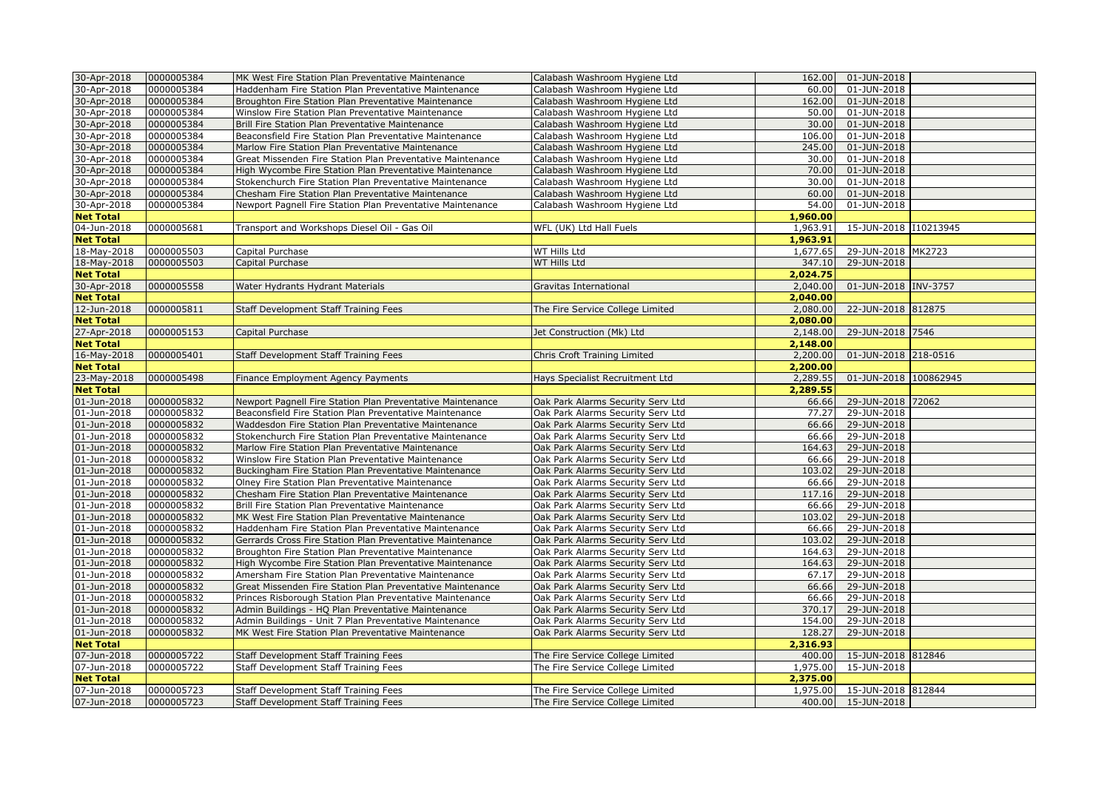| 30-Apr-2018      | 0000005384 | MK West Fire Station Plan Preventative Maintenance                                                                    | Calabash Washroom Hygiene Ltd     | 162.00   | 01-JUN-2018                |  |
|------------------|------------|-----------------------------------------------------------------------------------------------------------------------|-----------------------------------|----------|----------------------------|--|
| 30-Apr-2018      | 0000005384 | Haddenham Fire Station Plan Preventative Maintenance                                                                  | Calabash Washroom Hygiene Ltd     | 60.00    | 01-JUN-2018                |  |
| 30-Apr-2018      | 0000005384 | Broughton Fire Station Plan Preventative Maintenance                                                                  | Calabash Washroom Hygiene Ltd     | 162.00   | 01-JUN-2018                |  |
| 30-Apr-2018      | 0000005384 | Winslow Fire Station Plan Preventative Maintenance                                                                    | Calabash Washroom Hygiene Ltd     | 50.00    | 01-JUN-2018                |  |
| 30-Apr-2018      | 0000005384 | Brill Fire Station Plan Preventative Maintenance                                                                      | Calabash Washroom Hygiene Ltd     | 30.00    | 01-JUN-2018                |  |
| 30-Apr-2018      | 0000005384 | Beaconsfield Fire Station Plan Preventative Maintenance                                                               | Calabash Washroom Hygiene Ltd     | 106.00   | 01-JUN-2018                |  |
| 30-Apr-2018      | 0000005384 | Marlow Fire Station Plan Preventative Maintenance                                                                     | Calabash Washroom Hygiene Ltd     | 245.00   | 01-JUN-2018                |  |
| 30-Apr-2018      | 0000005384 | Great Missenden Fire Station Plan Preventative Maintenance                                                            | Calabash Washroom Hygiene Ltd     | 30.00    | 01-JUN-2018                |  |
| 30-Apr-2018      | 0000005384 | High Wycombe Fire Station Plan Preventative Maintenance                                                               | Calabash Washroom Hygiene Ltd     | 70.00    | 01-JUN-2018                |  |
| 30-Apr-2018      | 0000005384 | Stokenchurch Fire Station Plan Preventative Maintenance                                                               | Calabash Washroom Hygiene Ltd     | 30.00    | 01-JUN-2018                |  |
| 30-Apr-2018      | 0000005384 | Chesham Fire Station Plan Preventative Maintenance                                                                    | Calabash Washroom Hygiene Ltd     | 60.00    | 01-JUN-2018                |  |
| 30-Apr-2018      | 0000005384 | Newport Pagnell Fire Station Plan Preventative Maintenance                                                            | Calabash Washroom Hygiene Ltd     | 54.00    | 01-JUN-2018                |  |
| <b>Net Total</b> |            |                                                                                                                       |                                   | 1,960.00 |                            |  |
| 04-Jun-2018      | 0000005681 | Transport and Workshops Diesel Oil - Gas Oil                                                                          | WFL (UK) Ltd Hall Fuels           | 1,963.91 | 15-JUN-2018 110213945      |  |
| <b>Net Total</b> |            |                                                                                                                       |                                   | 1,963.91 |                            |  |
| 18-May-2018      | 0000005503 | Capital Purchase                                                                                                      | WT Hills Ltd                      | 1,677.65 | 29-JUN-2018 MK2723         |  |
| 18-May-2018      | 0000005503 | Capital Purchase                                                                                                      | WT Hills Ltd                      | 347.10   | 29-JUN-2018                |  |
| <b>Net Total</b> |            |                                                                                                                       |                                   | 2.024.75 |                            |  |
| 30-Apr-2018      | 0000005558 | Water Hydrants Hydrant Materials                                                                                      | Gravitas International            | 2,040.00 | 01-JUN-2018 INV-3757       |  |
| <b>Net Total</b> |            |                                                                                                                       |                                   | 2,040.00 |                            |  |
| 12-Jun-2018      | 0000005811 | Staff Development Staff Training Fees                                                                                 | The Fire Service College Limited  | 2,080.00 | 22-JUN-2018 812875         |  |
| <b>Net Total</b> |            |                                                                                                                       |                                   | 2,080.00 |                            |  |
| 27-Apr-2018      | 0000005153 | Capital Purchase                                                                                                      | Jet Construction (Mk) Ltd         | 2,148.00 | 29-JUN-2018 7546           |  |
| <b>Net Total</b> |            |                                                                                                                       |                                   | 2,148.00 |                            |  |
| 16-May-2018      | 0000005401 | Staff Development Staff Training Fees                                                                                 | Chris Croft Training Limited      | 2,200.00 | 01-JUN-2018 218-0516       |  |
| <b>Net Total</b> |            |                                                                                                                       |                                   | 2,200.00 |                            |  |
| 23-May-2018      | 0000005498 |                                                                                                                       |                                   | 2,289.55 | 01-JUN-2018 100862945      |  |
| <b>Net Total</b> |            | Finance Employment Agency Payments                                                                                    | Hays Specialist Recruitment Ltd   | 2,289.55 |                            |  |
| 01-Jun-2018      | 0000005832 |                                                                                                                       |                                   | 66.66    | 29-JUN-2018 72062          |  |
| 01-Jun-2018      | 0000005832 | Newport Pagnell Fire Station Plan Preventative Maintenance<br>Beaconsfield Fire Station Plan Preventative Maintenance | Oak Park Alarms Security Serv Ltd | 77.27    | 29-JUN-2018                |  |
|                  |            |                                                                                                                       | Oak Park Alarms Security Serv Ltd | 66.66    |                            |  |
| 01-Jun-2018      | 0000005832 | Waddesdon Fire Station Plan Preventative Maintenance                                                                  | Oak Park Alarms Security Serv Ltd | 66.66    | 29-JUN-2018<br>29-JUN-2018 |  |
| 01-Jun-2018      | 0000005832 | Stokenchurch Fire Station Plan Preventative Maintenance                                                               | Oak Park Alarms Security Serv Ltd |          |                            |  |
| 01-Jun-2018      | 0000005832 | Marlow Fire Station Plan Preventative Maintenance                                                                     | Oak Park Alarms Security Serv Ltd | 164.63   | 29-JUN-2018                |  |
| 01-Jun-2018      | 0000005832 | Winslow Fire Station Plan Preventative Maintenance                                                                    | Oak Park Alarms Security Serv Ltd | 66.66    | 29-JUN-2018                |  |
| 01-Jun-2018      | 0000005832 | Buckingham Fire Station Plan Preventative Maintenance                                                                 | Oak Park Alarms Security Serv Ltd | 103.02   | 29-JUN-2018                |  |
| 01-Jun-2018      | 0000005832 | Olney Fire Station Plan Preventative Maintenance                                                                      | Oak Park Alarms Security Serv Ltd | 66.66    | 29-JUN-2018                |  |
| 01-Jun-2018      | 0000005832 | Chesham Fire Station Plan Preventative Maintenance                                                                    | Oak Park Alarms Security Serv Ltd | 117.16   | 29-JUN-2018                |  |
| 01-Jun-2018      | 0000005832 | Brill Fire Station Plan Preventative Maintenance                                                                      | Oak Park Alarms Security Serv Ltd | 66.66    | 29-JUN-2018                |  |
| 01-Jun-2018      | 0000005832 | MK West Fire Station Plan Preventative Maintenance                                                                    | Oak Park Alarms Security Serv Ltd | 103.02   | 29-JUN-2018                |  |
| 01-Jun-2018      | 0000005832 | Haddenham Fire Station Plan Preventative Maintenance                                                                  | Oak Park Alarms Security Serv Ltd | 66.66    | 29-JUN-2018                |  |
| 01-Jun-2018      | 0000005832 | Gerrards Cross Fire Station Plan Preventative Maintenance                                                             | Oak Park Alarms Security Serv Ltd | 103.02   | 29-JUN-2018                |  |
| 01-Jun-2018      | 0000005832 | Broughton Fire Station Plan Preventative Maintenance                                                                  | Oak Park Alarms Security Serv Ltd | 164.63   | 29-JUN-2018                |  |
| 01-Jun-2018      | 0000005832 | High Wycombe Fire Station Plan Preventative Maintenance                                                               | Oak Park Alarms Security Serv Ltd | 164.63   | 29-JUN-2018                |  |
| 01-Jun-2018      | 0000005832 | Amersham Fire Station Plan Preventative Maintenance                                                                   | Oak Park Alarms Security Serv Ltd | 67.17    | 29-JUN-2018                |  |
| 01-Jun-2018      | 0000005832 | Great Missenden Fire Station Plan Preventative Maintenance                                                            | Oak Park Alarms Security Serv Ltd | 66.66    | 29-JUN-2018                |  |
| 01-Jun-2018      | 0000005832 | Princes Risborough Station Plan Preventative Maintenance                                                              | Oak Park Alarms Security Serv Ltd | 66.66    | 29-JUN-2018                |  |
| 01-Jun-2018      | 0000005832 | Admin Buildings - HQ Plan Preventative Maintenance                                                                    | Oak Park Alarms Security Serv Ltd | 370.17   | 29-JUN-2018                |  |
| 01-Jun-2018      | 0000005832 | Admin Buildings - Unit 7 Plan Preventative Maintenance                                                                | Oak Park Alarms Security Serv Ltd | 154.00   | 29-JUN-2018                |  |
| 01-Jun-2018      | 0000005832 | MK West Fire Station Plan Preventative Maintenance                                                                    | Oak Park Alarms Security Serv Ltd | 128.27   | 29-JUN-2018                |  |
| <b>Net Total</b> |            |                                                                                                                       |                                   | 2,316.93 |                            |  |
| 07-Jun-2018      | 0000005722 | Staff Development Staff Training Fees                                                                                 | The Fire Service College Limited  | 400.00   | 15-JUN-2018 812846         |  |
| 07-Jun-2018      | 0000005722 | Staff Development Staff Training Fees                                                                                 | The Fire Service College Limited  | 1,975.00 | 15-JUN-2018                |  |
| <b>Net Total</b> |            |                                                                                                                       |                                   | 2,375.00 |                            |  |
| 07-Jun-2018      | 0000005723 | Staff Development Staff Training Fees                                                                                 | The Fire Service College Limited  | 1,975.00 | 15-JUN-2018 812844         |  |
| 07-Jun-2018      | 0000005723 | Staff Development Staff Training Fees                                                                                 | The Fire Service College Limited  |          | 400.00 15-JUN-2018         |  |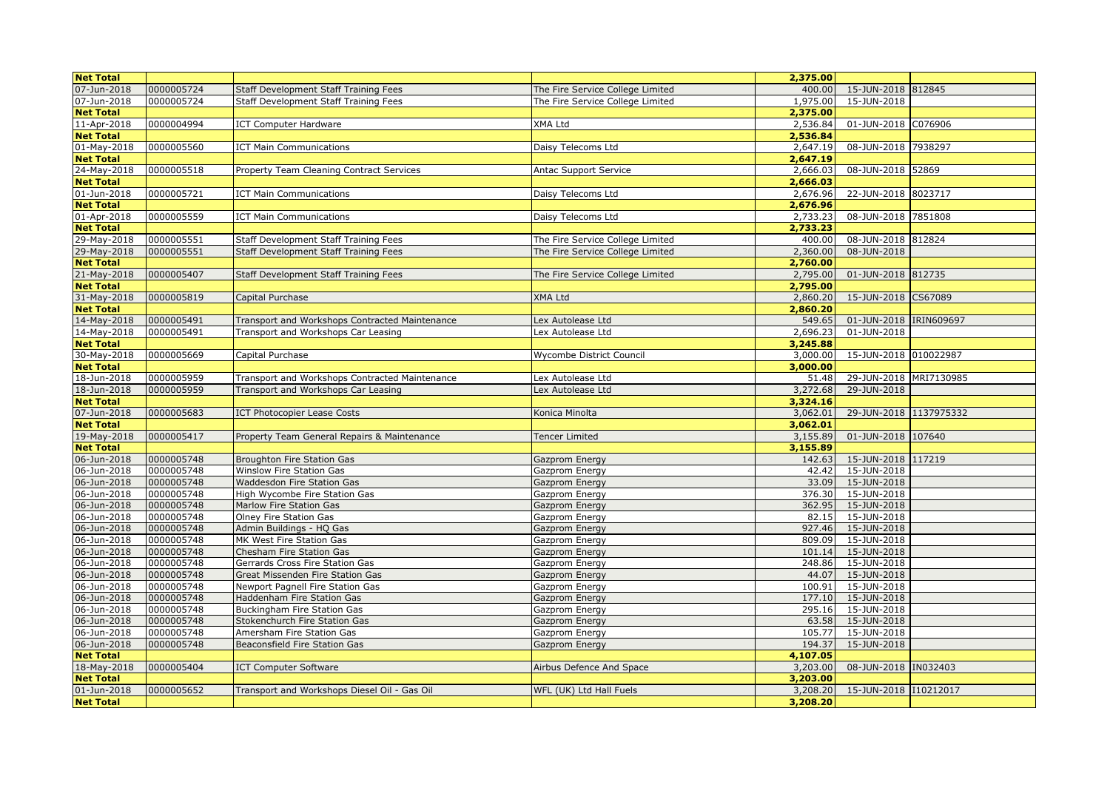| <b>Net Total</b>           |                          |                                                      |                                  | 2,375.00        |                            |
|----------------------------|--------------------------|------------------------------------------------------|----------------------------------|-----------------|----------------------------|
| 07-Jun-2018                | 0000005724               | Staff Development Staff Training Fees                | The Fire Service College Limited | 400.00          | 15-JUN-2018 812845         |
| 07-Jun-2018                | 0000005724               | Staff Development Staff Training Fees                | The Fire Service College Limited | 1,975.00        | 15-JUN-2018                |
| <b>Net Total</b>           |                          |                                                      |                                  | 2,375.00        |                            |
| 11-Apr-2018                | 0000004994               | <b>ICT Computer Hardware</b>                         | XMA Ltd                          | 2,536.84        | 01-JUN-2018 C076906        |
| <b>Net Total</b>           |                          |                                                      |                                  | 2,536.84        |                            |
| 01-May-2018                | 0000005560               | <b>ICT Main Communications</b>                       | Daisy Telecoms Ltd               | 2,647.19        | 08-JUN-2018 7938297        |
| <b>Net Total</b>           |                          |                                                      |                                  | 2,647.19        |                            |
| 24-May-2018                | 0000005518               | Property Team Cleaning Contract Services             | <b>Antac Support Service</b>     | 2,666.03        | 08-JUN-2018 52869          |
| <b>Net Total</b>           |                          |                                                      |                                  | 2,666.03        |                            |
| 01-Jun-2018                | 0000005721               | <b>ICT Main Communications</b>                       | Daisy Telecoms Ltd               | 2,676.96        | 22-JUN-2018 8023717        |
| <b>Net Total</b>           |                          |                                                      |                                  | 2,676.96        |                            |
| 01-Apr-2018                | 0000005559               | <b>ICT Main Communications</b>                       | Daisy Telecoms Ltd               | 2,733.23        | 08-JUN-2018 7851808        |
| <b>Net Total</b>           |                          |                                                      |                                  | 2,733.23        |                            |
| 29-May-2018                | 0000005551               | Staff Development Staff Training Fees                | The Fire Service College Limited | 400.00          | 08-JUN-2018 812824         |
| 29-May-2018                | 0000005551               | Staff Development Staff Training Fees                | The Fire Service College Limited | 2,360.00        | 08-JUN-2018                |
| <b>Net Total</b>           |                          |                                                      |                                  | 2,760.00        |                            |
| 21-May-2018                | 0000005407               | Staff Development Staff Training Fees                | The Fire Service College Limited | 2,795.00        | 01-JUN-2018 812735         |
| <b>Net Total</b>           |                          |                                                      |                                  | 2,795.00        |                            |
| 31-May-2018                | 0000005819               | Capital Purchase                                     | <b>XMA Ltd</b>                   | 2,860.20        | 15-JUN-2018 CS67089        |
| <b>Net Total</b>           |                          |                                                      |                                  | 2,860.20        |                            |
| 14-May-2018                | 0000005491               | Transport and Workshops Contracted Maintenance       | Lex Autolease Ltd                | 549.65          | 01-JUN-2018 IRIN609697     |
| 14-May-2018                | 0000005491               | Transport and Workshops Car Leasing                  | Lex Autolease Ltd                | 2,696.23        | 01-JUN-2018                |
| <b>Net Total</b>           |                          |                                                      |                                  | 3,245.88        |                            |
| 30-May-2018                | 0000005669               | Capital Purchase                                     | Wycombe District Council         | 3,000.00        | 15-JUN-2018 010022987      |
| <b>Net Total</b>           |                          |                                                      |                                  | 3,000.00        |                            |
| 18-Jun-2018                | 0000005959               | Transport and Workshops Contracted Maintenance       | Lex Autolease Ltd                | 51.48           | 29-JUN-2018 MRI7130985     |
| 18-Jun-2018                | 0000005959               | Transport and Workshops Car Leasing                  | Lex Autolease Ltd                | 3,272.68        | 29-JUN-2018                |
| <b>Net Total</b>           |                          |                                                      |                                  | 3,324.16        |                            |
| 07-Jun-2018                | 0000005683               | <b>ICT Photocopier Lease Costs</b>                   | Konica Minolta                   | 3,062.01        | 29-JUN-2018 1137975332     |
| <b>Net Total</b>           |                          |                                                      |                                  | 3,062.01        |                            |
| 19-May-2018                | 0000005417               | Property Team General Repairs & Maintenance          | <b>Tencer Limited</b>            | 3,155.89        | 01-JUN-2018 107640         |
| <b>Net Total</b>           |                          |                                                      |                                  | 3,155.89        |                            |
| 06-Jun-2018                | 0000005748               | Broughton Fire Station Gas                           | Gazprom Energy                   | 142.63          | 15-JUN-2018 117219         |
| 06-Jun-2018                | 0000005748               | Winslow Fire Station Gas                             | Gazprom Energy                   | 42.42           | 15-JUN-2018                |
| 06-Jun-2018                | 0000005748               | Waddesdon Fire Station Gas                           | Gazprom Energy                   | 33.09           | 15-JUN-2018                |
| 06-Jun-2018                | 0000005748               | High Wycombe Fire Station Gas                        | Gazprom Energy                   | 376.30          | 15-JUN-2018                |
| 06-Jun-2018<br>06-Jun-2018 | 0000005748               | Marlow Fire Station Gas                              | Gazprom Energy                   | 362.95<br>82.15 | 15-JUN-2018<br>15-JUN-2018 |
| 06-Jun-2018                | 0000005748               | Olney Fire Station Gas                               | Gazprom Energy                   | 927.46          |                            |
| 06-Jun-2018                | 0000005748<br>0000005748 | Admin Buildings - HQ Gas<br>MK West Fire Station Gas | Gazprom Energy<br>Gazprom Energy | 809.09          | 15-JUN-2018<br>15-JUN-2018 |
| 06-Jun-2018                | 0000005748               | Chesham Fire Station Gas                             | Gazprom Energy                   | 101.14          | 15-JUN-2018                |
| 06-Jun-2018                | 0000005748               | Gerrards Cross Fire Station Gas                      | Gazprom Energy                   | 248.86          | 15-JUN-2018                |
| 06-Jun-2018                | 0000005748               | Great Missenden Fire Station Gas                     | Gazprom Energy                   | 44.07           | 15-JUN-2018                |
| 06-Jun-2018                | 0000005748               | Newport Pagnell Fire Station Gas                     | Gazprom Energy                   | 100.91          | 15-JUN-2018                |
| 06-Jun-2018                | 0000005748               | Haddenham Fire Station Gas                           | Gazprom Energy                   | 177.10          | 15-JUN-2018                |
| 06-Jun-2018                | 0000005748               | Buckingham Fire Station Gas                          | Gazprom Energy                   | 295.16          | 15-JUN-2018                |
| 06-Jun-2018                | 0000005748               | Stokenchurch Fire Station Gas                        | Gazprom Energy                   | 63.58           | 15-JUN-2018                |
| 06-Jun-2018                | 0000005748               | Amersham Fire Station Gas                            | Gazprom Energy                   | 105.77          | 15-JUN-2018                |
| 06-Jun-2018                | 0000005748               | Beaconsfield Fire Station Gas                        | Gazprom Energy                   | 194.37          | 15-JUN-2018                |
| <b>Net Total</b>           |                          |                                                      |                                  | 4,107.05        |                            |
| 18-May-2018                | 0000005404               | <b>ICT Computer Software</b>                         | Airbus Defence And Space         | 3,203.00        | 08-JUN-2018 IN032403       |
| <b>Net Total</b>           |                          |                                                      |                                  | 3,203.00        |                            |
| 01-Jun-2018                | 0000005652               | Transport and Workshops Diesel Oil - Gas Oil         | WFL (UK) Ltd Hall Fuels          | 3,208.20        | 15-JUN-2018 110212017      |
| <b>Net Total</b>           |                          |                                                      |                                  | 3,208.20        |                            |
|                            |                          |                                                      |                                  |                 |                            |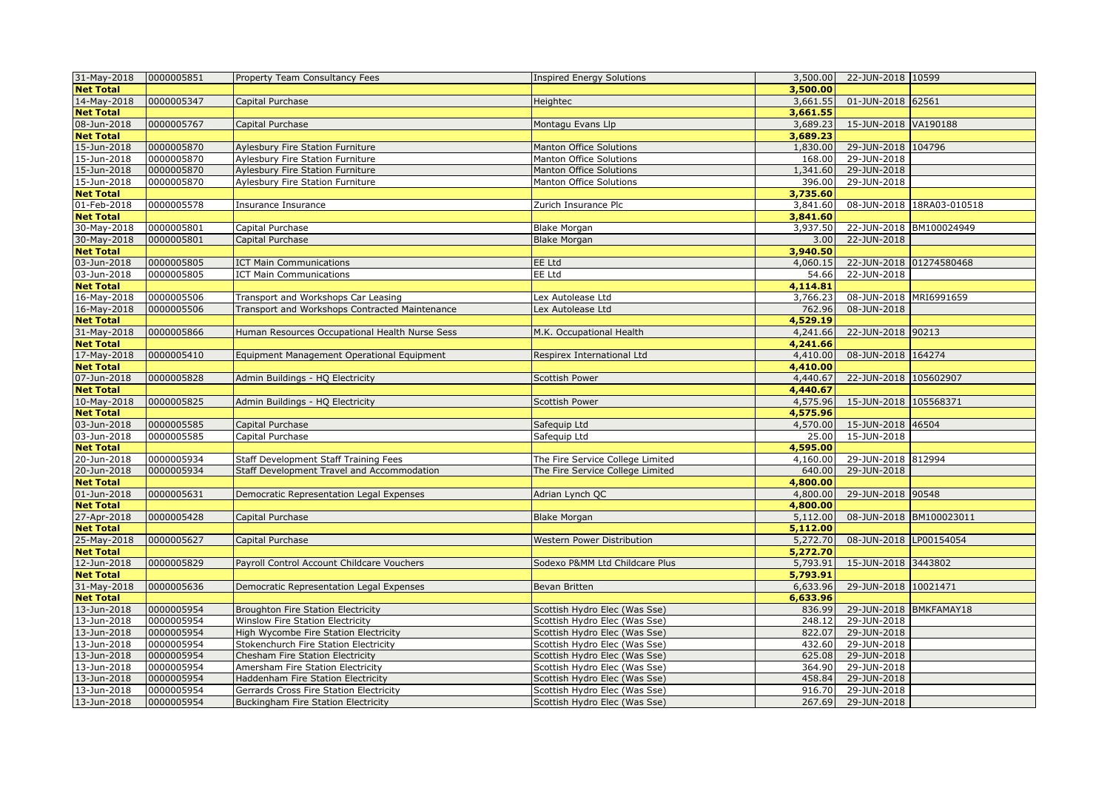| 31-May-2018      | 0000005851 | Property Team Consultancy Fees                 | <b>Inspired Energy Solutions</b> | 3,500.00 | 22-JUN-2018 10599         |
|------------------|------------|------------------------------------------------|----------------------------------|----------|---------------------------|
| <b>Net Total</b> |            |                                                |                                  | 3,500.00 |                           |
| 14-May-2018      | 0000005347 | Capital Purchase                               | Heightec                         | 3,661.55 | 01-JUN-2018 62561         |
| <b>Net Total</b> |            |                                                |                                  | 3,661.55 |                           |
| 08-Jun-2018      | 0000005767 | Capital Purchase                               | Montagu Evans Llp                | 3,689.23 | 15-JUN-2018 VA190188      |
| <b>Net Total</b> |            |                                                |                                  | 3,689.23 |                           |
| 15-Jun-2018      | 0000005870 | Aylesbury Fire Station Furniture               | <b>Manton Office Solutions</b>   | 1,830.00 | 29-JUN-2018 104796        |
| 15-Jun-2018      | 0000005870 | Aylesbury Fire Station Furniture               | Manton Office Solutions          | 168.00   | 29-JUN-2018               |
| 15-Jun-2018      | 0000005870 | Aylesbury Fire Station Furniture               | <b>Manton Office Solutions</b>   | 1,341.60 | 29-JUN-2018               |
| 15-Jun-2018      | 0000005870 | Aylesbury Fire Station Furniture               | Manton Office Solutions          | 396.00   | 29-JUN-2018               |
| <b>Net Total</b> |            |                                                |                                  | 3,735.60 |                           |
| 01-Feb-2018      | 0000005578 | Insurance Insurance                            | Zurich Insurance Plc             | 3,841.60 | 08-JUN-2018 18RA03-010518 |
| <b>Net Total</b> |            |                                                |                                  | 3,841.60 |                           |
| 30-May-2018      | 0000005801 | Capital Purchase                               | <b>Blake Morgan</b>              | 3,937.50 | 22-JUN-2018 BM100024949   |
| 30-May-2018      | 0000005801 | Capital Purchase                               | <b>Blake Morgan</b>              | 3.00     | 22-JUN-2018               |
| <b>Net Total</b> |            |                                                |                                  | 3,940.50 |                           |
| 03-Jun-2018      | 0000005805 | <b>ICT Main Communications</b>                 | EE Ltd                           | 4,060.15 | 22-JUN-2018 01274580468   |
| 03-Jun-2018      | 0000005805 | <b>ICT Main Communications</b>                 | EE Ltd                           | 54.66    | 22-JUN-2018               |
| <b>Net Total</b> |            |                                                |                                  | 4,114.81 |                           |
| 16-May-2018      | 0000005506 | Transport and Workshops Car Leasing            | Lex Autolease Ltd                | 3,766.23 | 08-JUN-2018 MRI6991659    |
| 16-May-2018      | 0000005506 | Transport and Workshops Contracted Maintenance | Lex Autolease Ltd                | 762.96   | 08-JUN-2018               |
| <b>Net Total</b> |            |                                                |                                  | 4,529.19 |                           |
| 31-May-2018      | 0000005866 | Human Resources Occupational Health Nurse Sess | M.K. Occupational Health         | 4,241.66 | 22-JUN-2018 90213         |
| <b>Net Total</b> |            |                                                |                                  | 4,241.66 |                           |
| 17-May-2018      | 0000005410 | Equipment Management Operational Equipment     | Respirex International Ltd       | 4,410.00 | 08-JUN-2018 164274        |
| <b>Net Total</b> |            |                                                |                                  | 4,410.00 |                           |
| 07-Jun-2018      | 0000005828 | Admin Buildings - HQ Electricity               | <b>Scottish Power</b>            | 4,440.67 | 22-JUN-2018 105602907     |
| <b>Net Total</b> |            |                                                |                                  | 4,440.67 |                           |
| 10-May-2018      | 0000005825 | Admin Buildings - HQ Electricity               | <b>Scottish Power</b>            | 4,575.96 | 15-JUN-2018 105568371     |
| <b>Net Total</b> |            |                                                |                                  | 4,575.96 |                           |
| 03-Jun-2018      | 0000005585 | Capital Purchase                               | Safequip Ltd                     | 4,570.00 | 15-JUN-2018 46504         |
| 03-Jun-2018      | 0000005585 | Capital Purchase                               | Safequip Ltd                     | 25.00    | 15-JUN-2018               |
| <b>Net Total</b> |            |                                                |                                  | 4,595.00 |                           |
| 20-Jun-2018      | 0000005934 | Staff Development Staff Training Fees          | The Fire Service College Limited | 4,160.00 | 29-JUN-2018 812994        |
| 20-Jun-2018      | 0000005934 | Staff Development Travel and Accommodation     | The Fire Service College Limited | 640.00   | 29-JUN-2018               |
| <b>Net Total</b> |            |                                                |                                  | 4,800.00 |                           |
| 01-Jun-2018      | 0000005631 | Democratic Representation Legal Expenses       | Adrian Lynch QC                  | 4,800.00 | 29-JUN-2018 90548         |
| <b>Net Total</b> |            |                                                |                                  | 4,800.00 |                           |
| 27-Apr-2018      | 0000005428 | Capital Purchase                               | <b>Blake Morgan</b>              | 5,112.00 | 08-JUN-2018 BM100023011   |
| <b>Net Total</b> |            |                                                |                                  | 5,112.00 |                           |
| 25-May-2018      | 0000005627 | Capital Purchase                               | Western Power Distribution       | 5,272.70 | 08-JUN-2018 LP00154054    |
| <b>Net Total</b> |            |                                                |                                  | 5,272.70 |                           |
| 12-Jun-2018      | 0000005829 | Payroll Control Account Childcare Vouchers     | Sodexo P&MM Ltd Childcare Plus   | 5,793.91 | 15-JUN-2018 3443802       |
| <b>Net Total</b> |            |                                                |                                  | 5,793.91 |                           |
| 31-May-2018      | 0000005636 | Democratic Representation Legal Expenses       | Bevan Britten                    | 6,633.96 | 29-JUN-2018 10021471      |
| <b>Net Total</b> |            |                                                |                                  | 6,633.96 |                           |
| 13-Jun-2018      | 0000005954 | Broughton Fire Station Electricity             | Scottish Hydro Elec (Was Sse)    | 836.99   | 29-JUN-2018 BMKFAMAY18    |
| 13-Jun-2018      | 0000005954 | Winslow Fire Station Electricity               | Scottish Hydro Elec (Was Sse)    | 248.12   | 29-JUN-2018               |
| 13-Jun-2018      | 0000005954 | High Wycombe Fire Station Electricity          | Scottish Hydro Elec (Was Sse)    | 822.07   | 29-JUN-2018               |
| 13-Jun-2018      | 0000005954 | Stokenchurch Fire Station Electricity          | Scottish Hydro Elec (Was Sse)    | 432.60   | 29-JUN-2018               |
| 13-Jun-2018      | 0000005954 | Chesham Fire Station Electricity               | Scottish Hydro Elec (Was Sse)    | 625.08   | 29-JUN-2018               |
| 13-Jun-2018      | 0000005954 | Amersham Fire Station Electricity              | Scottish Hydro Elec (Was Sse)    | 364.90   | 29-JUN-2018               |
| 13-Jun-2018      | 0000005954 | Haddenham Fire Station Electricity             | Scottish Hydro Elec (Was Sse)    | 458.84   | 29-JUN-2018               |
| 13-Jun-2018      | 0000005954 | Gerrards Cross Fire Station Electricity        | Scottish Hydro Elec (Was Sse)    | 916.70   | 29-JUN-2018               |
| 13-Jun-2018      | 0000005954 | Buckingham Fire Station Electricity            | Scottish Hydro Elec (Was Sse)    |          | 267.69 29-JUN-2018        |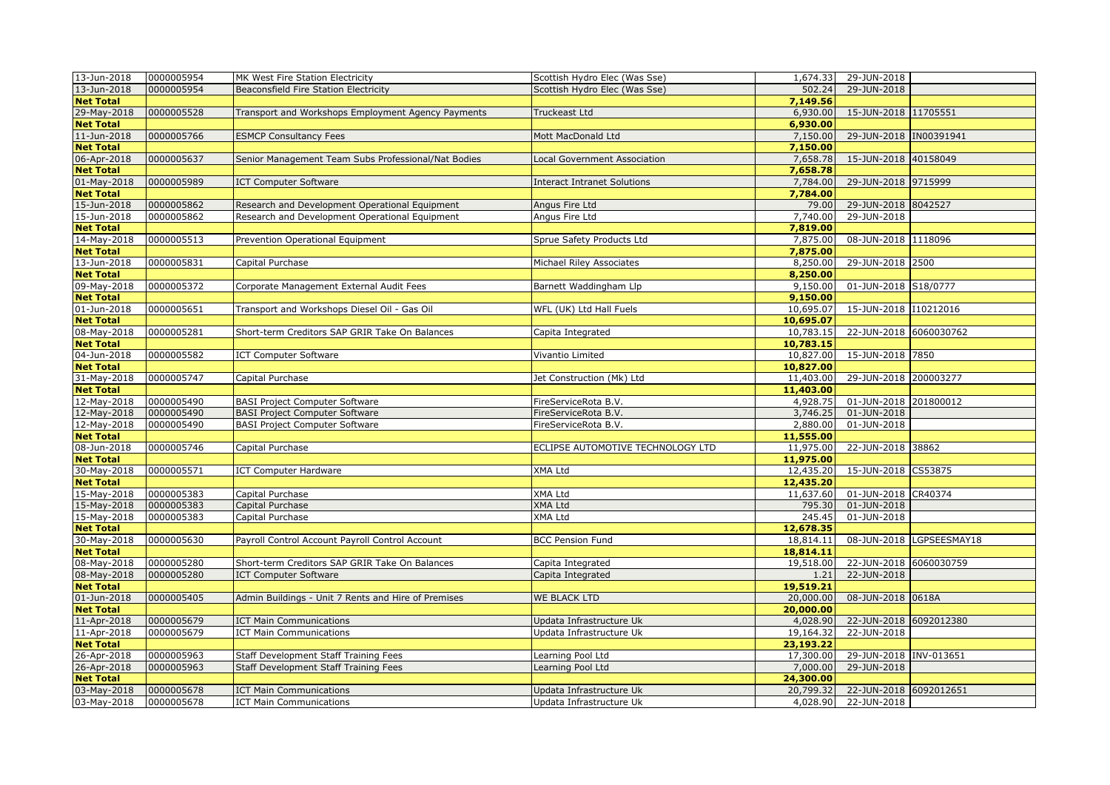| 13-Jun-2018      | 0000005954 | MK West Fire Station Electricity                    | Scottish Hydro Elec (Was Sse)      | 1,674.33  | 29-JUN-2018              |
|------------------|------------|-----------------------------------------------------|------------------------------------|-----------|--------------------------|
| 13-Jun-2018      | 0000005954 | Beaconsfield Fire Station Electricity               | Scottish Hydro Elec (Was Sse)      | 502.24    | 29-JUN-2018              |
| <b>Net Total</b> |            |                                                     |                                    | 7,149.56  |                          |
| 29-May-2018      | 0000005528 | Transport and Workshops Employment Agency Payments  | <b>Truckeast Ltd</b>               | 6,930.00  | 15-JUN-2018 11705551     |
| <b>Net Total</b> |            |                                                     |                                    | 6,930.00  |                          |
| 11-Jun-2018      | 0000005766 | <b>ESMCP Consultancy Fees</b>                       | Mott MacDonald Ltd                 | 7,150.00  | 29-JUN-2018  IN00391941  |
| <b>Net Total</b> |            |                                                     |                                    | 7,150.00  |                          |
| 06-Apr-2018      | 0000005637 | Senior Management Team Subs Professional/Nat Bodies | Local Government Association       | 7,658.78  | 15-JUN-2018 40158049     |
| <b>Net Total</b> |            |                                                     |                                    | 7,658.78  |                          |
| 01-May-2018      | 0000005989 | <b>ICT Computer Software</b>                        | <b>Interact Intranet Solutions</b> | 7,784.00  | 29-JUN-2018 9715999      |
| <b>Net Total</b> |            |                                                     |                                    | 7,784.00  |                          |
| 15-Jun-2018      | 0000005862 | Research and Development Operational Equipment      | Angus Fire Ltd                     | 79.00     | 29-JUN-2018 8042527      |
| 15-Jun-2018      | 0000005862 | Research and Development Operational Equipment      | Angus Fire Ltd                     | 7,740.00  | 29-JUN-2018              |
| <b>Net Total</b> |            |                                                     |                                    | 7,819.00  |                          |
| 14-May-2018      | 0000005513 | Prevention Operational Equipment                    | Sprue Safety Products Ltd          | 7,875.00  | 08-JUN-2018 1118096      |
| <b>Net Total</b> |            |                                                     |                                    | 7,875.00  |                          |
| 13-Jun-2018      | 0000005831 | Capital Purchase                                    | Michael Riley Associates           | 8,250.00  | 29-JUN-2018 2500         |
| <b>Net Total</b> |            |                                                     |                                    | 8,250.00  |                          |
| 09-May-2018      | 0000005372 | Corporate Management External Audit Fees            | Barnett Waddingham Llp             | 9,150.00  | 01-JUN-2018 S18/0777     |
| <b>Net Total</b> |            |                                                     |                                    | 9,150.00  |                          |
| 01-Jun-2018      | 0000005651 | Transport and Workshops Diesel Oil - Gas Oil        | WFL (UK) Ltd Hall Fuels            | 10,695.07 | 15-JUN-2018 110212016    |
| <b>Net Total</b> |            |                                                     |                                    | 10,695.07 |                          |
| 08-May-2018      | 0000005281 | Short-term Creditors SAP GRIR Take On Balances      | Capita Integrated                  | 10,783.15 | 22-JUN-2018 6060030762   |
| <b>Net Total</b> |            |                                                     |                                    | 10,783.15 |                          |
| 04-Jun-2018      | 0000005582 | <b>ICT Computer Software</b>                        | Vivantio Limited                   | 10,827.00 | 15-JUN-2018 7850         |
| <b>Net Total</b> |            |                                                     |                                    | 10,827.00 |                          |
| 31-May-2018      | 0000005747 | Capital Purchase                                    | Jet Construction (Mk) Ltd          | 11,403.00 | 29-JUN-2018 200003277    |
| <b>Net Total</b> |            |                                                     |                                    | 11,403.00 |                          |
| 12-May-2018      | 0000005490 | <b>BASI Project Computer Software</b>               | FireServiceRota B.V.               | 4,928.75  | 01-JUN-2018 201800012    |
| 12-May-2018      | 0000005490 | <b>BASI Project Computer Software</b>               | FireServiceRota B.V.               | 3,746.25  | 01-JUN-2018              |
| 12-May-2018      | 0000005490 | <b>BASI</b> Project Computer Software               | FireServiceRota B.V.               | 2,880.00  | 01-JUN-2018              |
| <b>Net Total</b> |            |                                                     |                                    | 11,555.00 |                          |
| 08-Jun-2018      | 0000005746 | Capital Purchase                                    | ECLIPSE AUTOMOTIVE TECHNOLOGY LTD  | 11,975.00 | 22-JUN-2018 38862        |
| <b>Net Total</b> |            |                                                     |                                    | 11,975.00 |                          |
| 30-May-2018      | 0000005571 | <b>ICT Computer Hardware</b>                        | <b>XMA Ltd</b>                     | 12,435.20 | 15-JUN-2018 CS53875      |
| <b>Net Total</b> |            |                                                     |                                    | 12,435.20 |                          |
| 15-May-2018      | 0000005383 | Capital Purchase                                    | <b>XMA Ltd</b>                     | 11,637.60 | 01-JUN-2018 CR40374      |
| 15-May-2018      | 0000005383 | Capital Purchase                                    | <b>XMA Ltd</b>                     | 795.30    | 01-JUN-2018              |
| $15-May-2018$    | 0000005383 | Capital Purchase                                    | <b>XMA Ltd</b>                     | 245.45    | 01-JUN-2018              |
| <b>Net Total</b> |            |                                                     |                                    | 12,678.35 |                          |
| 30-May-2018      | 0000005630 | Payroll Control Account Payroll Control Account     | <b>BCC Pension Fund</b>            | 18,814.11 | 08-JUN-2018 LGPSEESMAY18 |
| <b>Net Total</b> |            |                                                     |                                    | 18,814.11 |                          |
| 08-May-2018      | 0000005280 | Short-term Creditors SAP GRIR Take On Balances      | Capita Integrated                  | 19,518.00 | 22-JUN-2018 6060030759   |
| 08-May-2018      | 0000005280 | <b>ICT Computer Software</b>                        | Capita Integrated                  | 1.21      | 22-JUN-2018              |
| <b>Net Total</b> |            |                                                     |                                    | 19,519.21 |                          |
| 01-Jun-2018      | 0000005405 | Admin Buildings - Unit 7 Rents and Hire of Premises | <b>WE BLACK LTD</b>                | 20,000.00 | 08-JUN-2018 0618A        |
| <b>Net Total</b> |            |                                                     |                                    | 20,000.00 |                          |
| 11-Apr-2018      | 0000005679 | <b>ICT Main Communications</b>                      | Updata Infrastructure Uk           | 4,028.90  | 22-JUN-2018 6092012380   |
| 11-Apr-2018      | 0000005679 | <b>ICT Main Communications</b>                      | Updata Infrastructure Uk           | 19,164.32 | 22-JUN-2018              |
| <b>Net Total</b> |            |                                                     |                                    | 23,193.22 |                          |
| 26-Apr-2018      | 0000005963 | Staff Development Staff Training Fees               | Learning Pool Ltd                  | 17,300.00 | 29-JUN-2018 INV-013651   |
| 26-Apr-2018      | 0000005963 | <b>Staff Development Staff Training Fees</b>        | Learning Pool Ltd                  | 7,000.00  | 29-JUN-2018              |
| <b>Net Total</b> |            |                                                     |                                    | 24,300.00 |                          |
| 03-May-2018      | 0000005678 | <b>ICT Main Communications</b>                      | Updata Infrastructure Uk           | 20,799.32 | 22-JUN-2018 6092012651   |
| 03-May-2018      | 0000005678 | <b>ICT Main Communications</b>                      | Updata Infrastructure Uk           | 4,028.90  | 22-JUN-2018              |